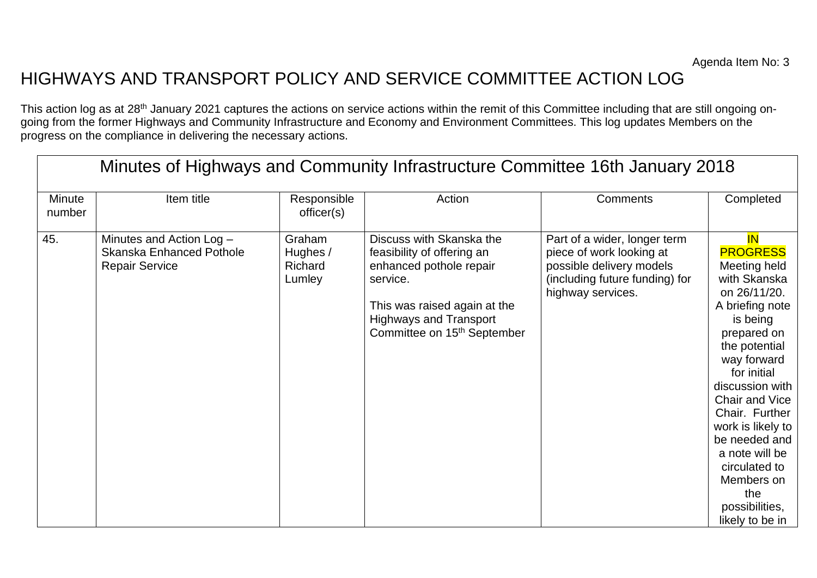## HIGHWAYS AND TRANSPORT POLICY AND SERVICE COMMITTEE ACTION LOG

This action log as at 28<sup>th</sup> January 2021 captures the actions on service actions within the remit of this Committee including that are still ongoing ongoing from the former Highways and Community Infrastructure and Economy and Environment Committees. This log updates Members on the progress on the compliance in delivering the necessary actions.

| Minutes of Highways and Community Infrastructure Committee 16th January 2018 |                                                                                      |                                                |                                                                                                                                                                                                           |                                                                                                                                             |                                                                                                                                                                                                                                                                                                                                                                     |  |
|------------------------------------------------------------------------------|--------------------------------------------------------------------------------------|------------------------------------------------|-----------------------------------------------------------------------------------------------------------------------------------------------------------------------------------------------------------|---------------------------------------------------------------------------------------------------------------------------------------------|---------------------------------------------------------------------------------------------------------------------------------------------------------------------------------------------------------------------------------------------------------------------------------------------------------------------------------------------------------------------|--|
| <b>Minute</b><br>number                                                      | Item title                                                                           | Responsible<br>officer(s)                      | Action                                                                                                                                                                                                    | <b>Comments</b>                                                                                                                             | Completed                                                                                                                                                                                                                                                                                                                                                           |  |
| 45.                                                                          | Minutes and Action Log -<br><b>Skanska Enhanced Pothole</b><br><b>Repair Service</b> | Graham<br>Hughes /<br><b>Richard</b><br>Lumley | Discuss with Skanska the<br>feasibility of offering an<br>enhanced pothole repair<br>service.<br>This was raised again at the<br><b>Highways and Transport</b><br>Committee on 15 <sup>th</sup> September | Part of a wider, longer term<br>piece of work looking at<br>possible delivery models<br>(including future funding) for<br>highway services. | <b>IN</b><br><b>PROGRESS</b><br>Meeting held<br>with Skanska<br>on 26/11/20.<br>A briefing note<br>is being<br>prepared on<br>the potential<br>way forward<br>for initial<br>discussion with<br>Chair and Vice<br>Chair. Further<br>work is likely to<br>be needed and<br>a note will be<br>circulated to<br>Members on<br>the<br>possibilities,<br>likely to be in |  |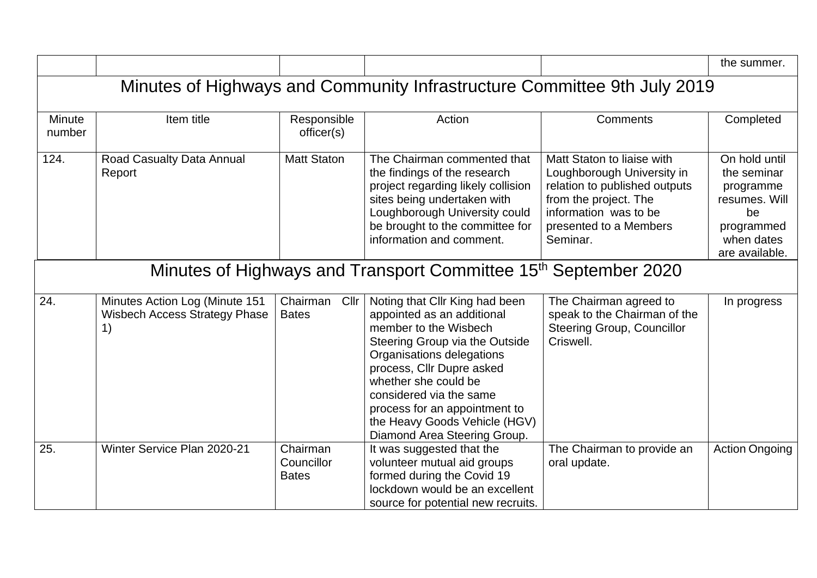|                                                                             |                                                                              |                                        |                                                                                                                                                                                                                                                                                                                                        |                                                                                                                                                                                   | the summer.                                                                                                    |  |
|-----------------------------------------------------------------------------|------------------------------------------------------------------------------|----------------------------------------|----------------------------------------------------------------------------------------------------------------------------------------------------------------------------------------------------------------------------------------------------------------------------------------------------------------------------------------|-----------------------------------------------------------------------------------------------------------------------------------------------------------------------------------|----------------------------------------------------------------------------------------------------------------|--|
| Minutes of Highways and Community Infrastructure Committee 9th July 2019    |                                                                              |                                        |                                                                                                                                                                                                                                                                                                                                        |                                                                                                                                                                                   |                                                                                                                |  |
| Minute<br>number                                                            | Item title                                                                   | Responsible<br>officer(s)              | Action                                                                                                                                                                                                                                                                                                                                 | Comments                                                                                                                                                                          | Completed                                                                                                      |  |
| 124.                                                                        | Road Casualty Data Annual<br>Report                                          | <b>Matt Staton</b>                     | The Chairman commented that<br>the findings of the research<br>project regarding likely collision<br>sites being undertaken with<br>Loughborough University could<br>be brought to the committee for<br>information and comment.                                                                                                       | Matt Staton to liaise with<br>Loughborough University in<br>relation to published outputs<br>from the project. The<br>information was to be<br>presented to a Members<br>Seminar. | On hold until<br>the seminar<br>programme<br>resumes. Will<br>be<br>programmed<br>when dates<br>are available. |  |
| Minutes of Highways and Transport Committee 15 <sup>th</sup> September 2020 |                                                                              |                                        |                                                                                                                                                                                                                                                                                                                                        |                                                                                                                                                                                   |                                                                                                                |  |
| 24.                                                                         | Minutes Action Log (Minute 151<br><b>Wisbech Access Strategy Phase</b><br>1) | Chairman<br>Cllr<br><b>Bates</b>       | Noting that Cllr King had been<br>appointed as an additional<br>member to the Wisbech<br>Steering Group via the Outside<br>Organisations delegations<br>process, Cllr Dupre asked<br>whether she could be<br>considered via the same<br>process for an appointment to<br>the Heavy Goods Vehicle (HGV)<br>Diamond Area Steering Group. | The Chairman agreed to<br>speak to the Chairman of the<br><b>Steering Group, Councillor</b><br>Criswell.                                                                          | In progress                                                                                                    |  |
| 25.                                                                         | Winter Service Plan 2020-21                                                  | Chairman<br>Councillor<br><b>Bates</b> | It was suggested that the<br>volunteer mutual aid groups<br>formed during the Covid 19<br>lockdown would be an excellent<br>source for potential new recruits.                                                                                                                                                                         | The Chairman to provide an<br>oral update.                                                                                                                                        | <b>Action Ongoing</b>                                                                                          |  |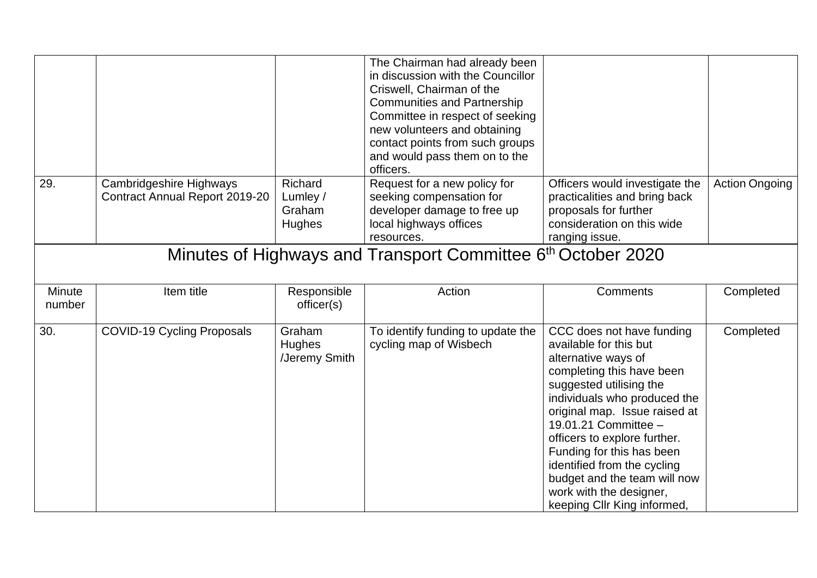|                  |                                                                          |                                          | The Chairman had already been<br>in discussion with the Councillor<br>Criswell, Chairman of the<br><b>Communities and Partnership</b><br>Committee in respect of seeking<br>new volunteers and obtaining<br>contact points from such groups<br>and would pass them on to the<br>officers. |                                                                                                                                                                                                                                                                                                                                                                                                                   |                       |  |  |  |
|------------------|--------------------------------------------------------------------------|------------------------------------------|-------------------------------------------------------------------------------------------------------------------------------------------------------------------------------------------------------------------------------------------------------------------------------------------|-------------------------------------------------------------------------------------------------------------------------------------------------------------------------------------------------------------------------------------------------------------------------------------------------------------------------------------------------------------------------------------------------------------------|-----------------------|--|--|--|
| 29.              | Cambridgeshire Highways<br>Contract Annual Report 2019-20                | Richard<br>Lumley /<br>Graham<br>Hughes  | Request for a new policy for<br>seeking compensation for<br>developer damage to free up<br>local highways offices<br>resources.                                                                                                                                                           | Officers would investigate the<br>practicalities and bring back<br>proposals for further<br>consideration on this wide<br>ranging issue.                                                                                                                                                                                                                                                                          | <b>Action Ongoing</b> |  |  |  |
|                  | Minutes of Highways and Transport Committee 6 <sup>th</sup> October 2020 |                                          |                                                                                                                                                                                                                                                                                           |                                                                                                                                                                                                                                                                                                                                                                                                                   |                       |  |  |  |
| Minute<br>number | Item title                                                               | Responsible<br>officer(s)                | Action                                                                                                                                                                                                                                                                                    | <b>Comments</b>                                                                                                                                                                                                                                                                                                                                                                                                   | Completed             |  |  |  |
| 30.              | <b>COVID-19 Cycling Proposals</b>                                        | Graham<br><b>Hughes</b><br>/Jeremy Smith | To identify funding to update the<br>cycling map of Wisbech                                                                                                                                                                                                                               | CCC does not have funding<br>available for this but<br>alternative ways of<br>completing this have been<br>suggested utilising the<br>individuals who produced the<br>original map. Issue raised at<br>19.01.21 Committee -<br>officers to explore further.<br>Funding for this has been<br>identified from the cycling<br>budget and the team will now<br>work with the designer,<br>keeping Cllr King informed, | Completed             |  |  |  |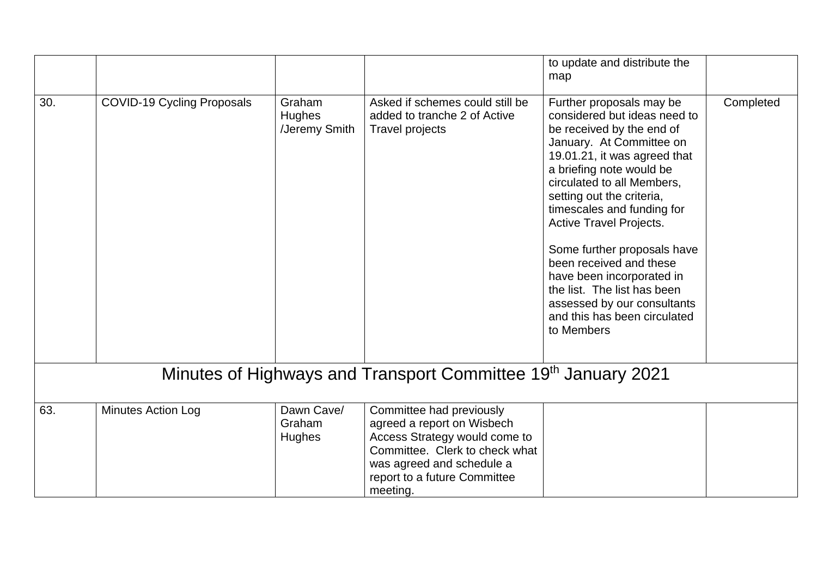|     |                                                                           |                                          |                                                                                                                                                                                                    | to update and distribute the<br>map                                                                                                                                                                                                                                                                                                                                                                                                                                                                         |           |  |  |
|-----|---------------------------------------------------------------------------|------------------------------------------|----------------------------------------------------------------------------------------------------------------------------------------------------------------------------------------------------|-------------------------------------------------------------------------------------------------------------------------------------------------------------------------------------------------------------------------------------------------------------------------------------------------------------------------------------------------------------------------------------------------------------------------------------------------------------------------------------------------------------|-----------|--|--|
| 30. | <b>COVID-19 Cycling Proposals</b>                                         | Graham<br><b>Hughes</b><br>/Jeremy Smith | Asked if schemes could still be<br>added to tranche 2 of Active<br><b>Travel projects</b>                                                                                                          | Further proposals may be<br>considered but ideas need to<br>be received by the end of<br>January. At Committee on<br>19.01.21, it was agreed that<br>a briefing note would be<br>circulated to all Members,<br>setting out the criteria,<br>timescales and funding for<br><b>Active Travel Projects.</b><br>Some further proposals have<br>been received and these<br>have been incorporated in<br>the list. The list has been<br>assessed by our consultants<br>and this has been circulated<br>to Members | Completed |  |  |
|     | Minutes of Highways and Transport Committee 19 <sup>th</sup> January 2021 |                                          |                                                                                                                                                                                                    |                                                                                                                                                                                                                                                                                                                                                                                                                                                                                                             |           |  |  |
| 63. | Minutes Action Log                                                        | Dawn Cave/<br>Graham<br>Hughes           | Committee had previously<br>agreed a report on Wisbech<br>Access Strategy would come to<br>Committee. Clerk to check what<br>was agreed and schedule a<br>report to a future Committee<br>meeting. |                                                                                                                                                                                                                                                                                                                                                                                                                                                                                                             |           |  |  |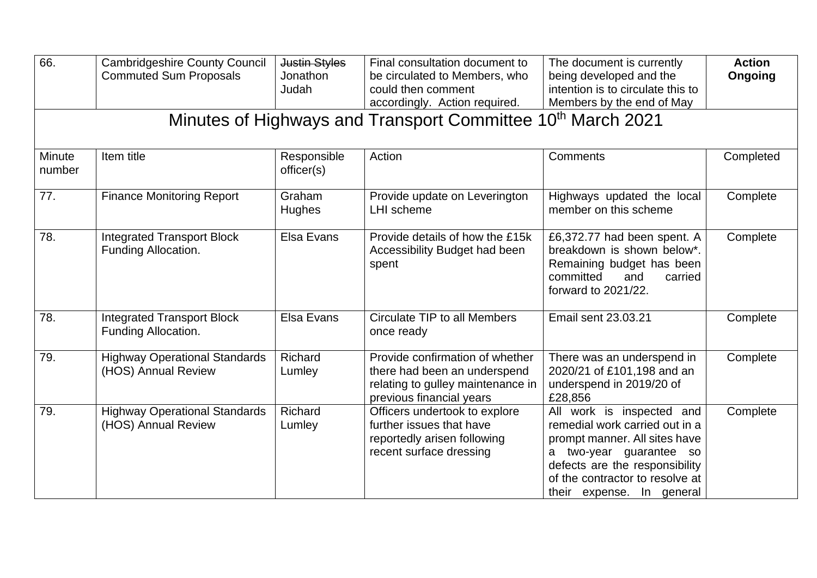| 66.              | <b>Cambridgeshire County Council</b><br><b>Commuted Sum Proposals</b> | <b>Justin Styles</b><br>Jonathon<br>Judah | Final consultation document to<br>be circulated to Members, who<br>could then comment<br>accordingly. Action required.           | The document is currently<br>being developed and the<br>intention is to circulate this to<br>Members by the end of May                                                                                                    | <b>Action</b><br>Ongoing |
|------------------|-----------------------------------------------------------------------|-------------------------------------------|----------------------------------------------------------------------------------------------------------------------------------|---------------------------------------------------------------------------------------------------------------------------------------------------------------------------------------------------------------------------|--------------------------|
|                  |                                                                       |                                           | Minutes of Highways and Transport Committee 10 <sup>th</sup> March 2021                                                          |                                                                                                                                                                                                                           |                          |
| Minute<br>number | Item title                                                            | Responsible<br>officer(s)                 | Action                                                                                                                           | Comments                                                                                                                                                                                                                  | Completed                |
| 77.              | <b>Finance Monitoring Report</b>                                      | Graham<br><b>Hughes</b>                   | Provide update on Leverington<br><b>LHI</b> scheme                                                                               | Highways updated the local<br>member on this scheme                                                                                                                                                                       | Complete                 |
| 78.              | <b>Integrated Transport Block</b><br>Funding Allocation.              | Elsa Evans                                | Provide details of how the £15k<br>Accessibility Budget had been<br>spent                                                        | £6,372.77 had been spent. A<br>breakdown is shown below*.<br>Remaining budget has been<br>committed<br>and<br>carried<br>forward to 2021/22.                                                                              | Complete                 |
| 78.              | <b>Integrated Transport Block</b><br>Funding Allocation.              | Elsa Evans                                | <b>Circulate TIP to all Members</b><br>once ready                                                                                | Email sent 23.03.21                                                                                                                                                                                                       | Complete                 |
| 79.              | <b>Highway Operational Standards</b><br>(HOS) Annual Review           | Richard<br>Lumley                         | Provide confirmation of whether<br>there had been an underspend<br>relating to gulley maintenance in<br>previous financial years | There was an underspend in<br>2020/21 of £101,198 and an<br>underspend in 2019/20 of<br>£28,856                                                                                                                           | Complete                 |
| 79.              | <b>Highway Operational Standards</b><br>(HOS) Annual Review           | Richard<br>Lumley                         | Officers undertook to explore<br>further issues that have<br>reportedly arisen following<br>recent surface dressing              | All work is inspected and<br>remedial work carried out in a<br>prompt manner. All sites have<br>a two-year guarantee so<br>defects are the responsibility<br>of the contractor to resolve at<br>their expense. In general | Complete                 |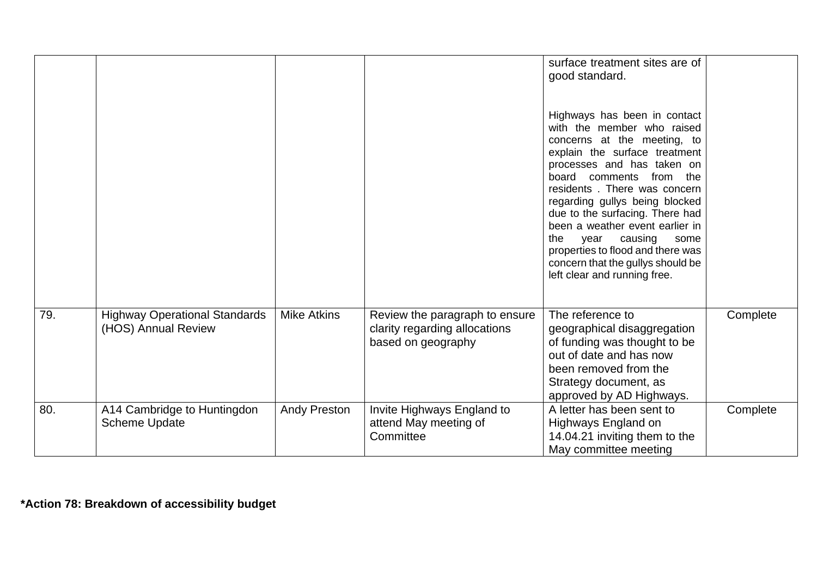|     |                                                             |                     |                                                                                       | surface treatment sites are of<br>good standard.<br>Highways has been in contact<br>with the member who raised<br>concerns at the meeting, to<br>explain the surface treatment<br>processes and has taken on<br>from the<br>board comments<br>residents. There was concern<br>regarding gullys being blocked<br>due to the surfacing. There had<br>been a weather event earlier in<br>the<br>causing<br>year<br>some<br>properties to flood and there was<br>concern that the gullys should be<br>left clear and running free. |          |
|-----|-------------------------------------------------------------|---------------------|---------------------------------------------------------------------------------------|--------------------------------------------------------------------------------------------------------------------------------------------------------------------------------------------------------------------------------------------------------------------------------------------------------------------------------------------------------------------------------------------------------------------------------------------------------------------------------------------------------------------------------|----------|
| 79. | <b>Highway Operational Standards</b><br>(HOS) Annual Review | <b>Mike Atkins</b>  | Review the paragraph to ensure<br>clarity regarding allocations<br>based on geography | The reference to<br>geographical disaggregation<br>of funding was thought to be<br>out of date and has now<br>been removed from the<br>Strategy document, as<br>approved by AD Highways.                                                                                                                                                                                                                                                                                                                                       | Complete |
| 80. | A14 Cambridge to Huntingdon<br><b>Scheme Update</b>         | <b>Andy Preston</b> | Invite Highways England to<br>attend May meeting of<br>Committee                      | A letter has been sent to<br>Highways England on<br>14.04.21 inviting them to the<br>May committee meeting                                                                                                                                                                                                                                                                                                                                                                                                                     | Complete |

**\*Action 78: Breakdown of accessibility budget**